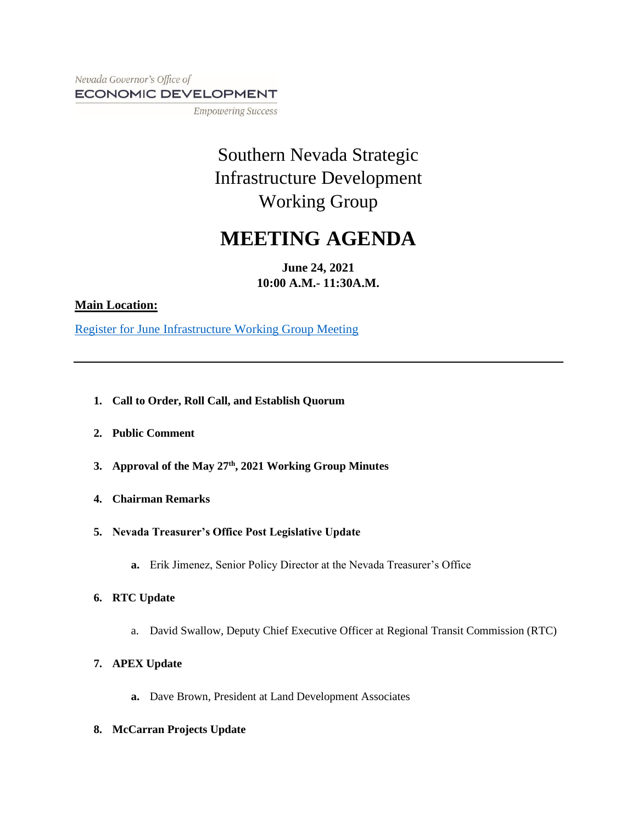Nevada Governor's Office of ECONOMIC DEVELOPMENT

**Empowering Success** 

# Southern Nevada Strategic Infrastructure Development Working Group

# **MEETING AGENDA**

**June 24, 2021 10:00 A.M.- 11:30A.M.**

### **Main Location:**

Register for June [Infrastructure Working Group Meeting](https://goed.webex.com/webappng/sites/goed/meeting/info/cc675b0cf72a4c72bd38f23f5b80a7e8?isPopupRegisterView=true)

- **1. Call to Order, Roll Call, and Establish Quorum**
- **2. Public Comment**
- **3. Approval of the May 27th, 2021 Working Group Minutes**
- **4. Chairman Remarks**
- **5. Nevada Treasurer's Office Post Legislative Update**
	- **a.** Erik Jimenez, Senior Policy Director at the Nevada Treasurer's Office
- **6. RTC Update**
	- a. David Swallow, Deputy Chief Executive Officer at Regional Transit Commission (RTC)
- **7. APEX Update**
	- **a.** Dave Brown, President at Land Development Associates
- **8. McCarran Projects Update**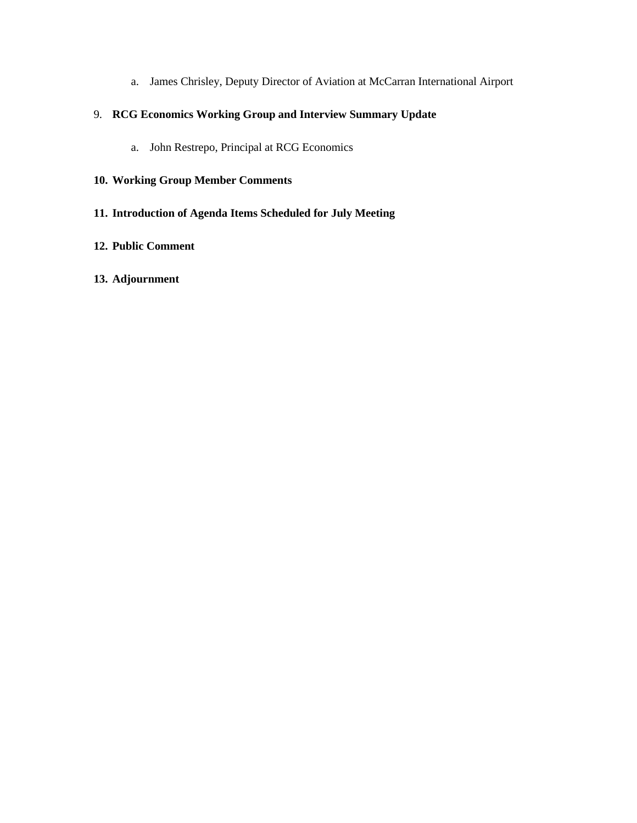a. James Chrisley, Deputy Director of Aviation at McCarran International Airport

# 9. **RCG Economics Working Group and Interview Summary Update**

a. John Restrepo, Principal at RCG Economics

# **10. Working Group Member Comments**

# **11. Introduction of Agenda Items Scheduled for July Meeting**

#### **12. Public Comment**

#### **13. Adjournment**